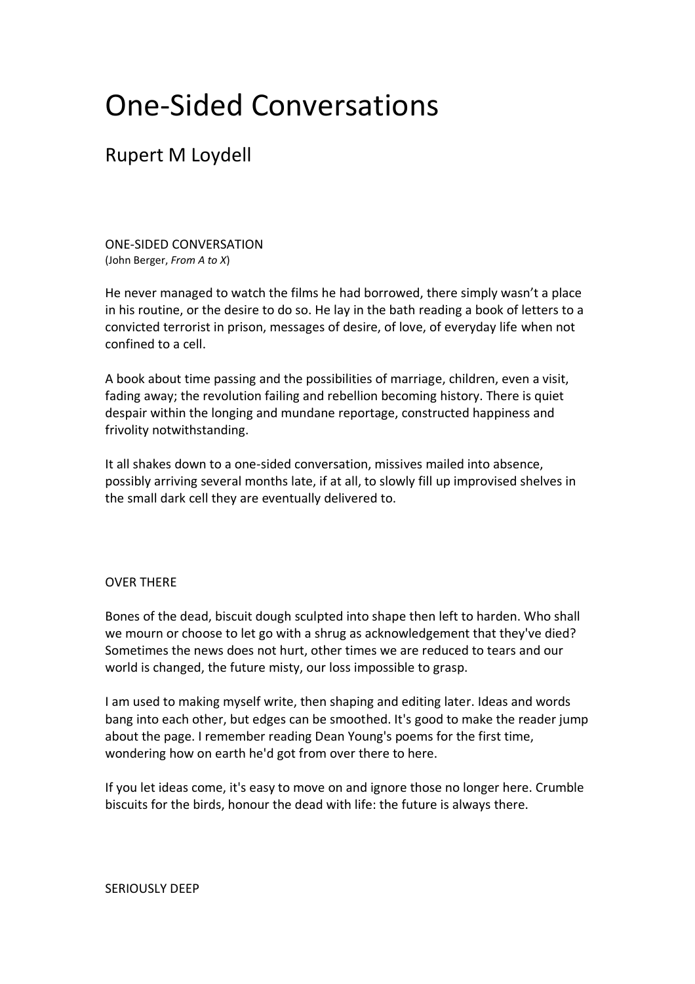# One-Sided Conversations

# Rupert M Loydell

ONE-SIDED CONVERSATION (John Berger, *From A to X*)

He never managed to watch the films he had borrowed, there simply wasn't a place in his routine, or the desire to do so. He lay in the bath reading a book of letters to a convicted terrorist in prison, messages of desire, of love, of everyday life when not confined to a cell.

A book about time passing and the possibilities of marriage, children, even a visit, fading away; the revolution failing and rebellion becoming history. There is quiet despair within the longing and mundane reportage, constructed happiness and frivolity notwithstanding.

It all shakes down to a one-sided conversation, missives mailed into absence, possibly arriving several months late, if at all, to slowly fill up improvised shelves in the small dark cell they are eventually delivered to.

## OVER THERE

Bones of the dead, biscuit dough sculpted into shape then left to harden. Who shall we mourn or choose to let go with a shrug as acknowledgement that they've died? Sometimes the news does not hurt, other times we are reduced to tears and our world is changed, the future misty, our loss impossible to grasp.

I am used to making myself write, then shaping and editing later. Ideas and words bang into each other, but edges can be smoothed. It's good to make the reader jump about the page. I remember reading Dean Young's poems for the first time, wondering how on earth he'd got from over there to here.

If you let ideas come, it's easy to move on and ignore those no longer here. Crumble biscuits for the birds, honour the dead with life: the future is always there.

## SERIOUSLY DEEP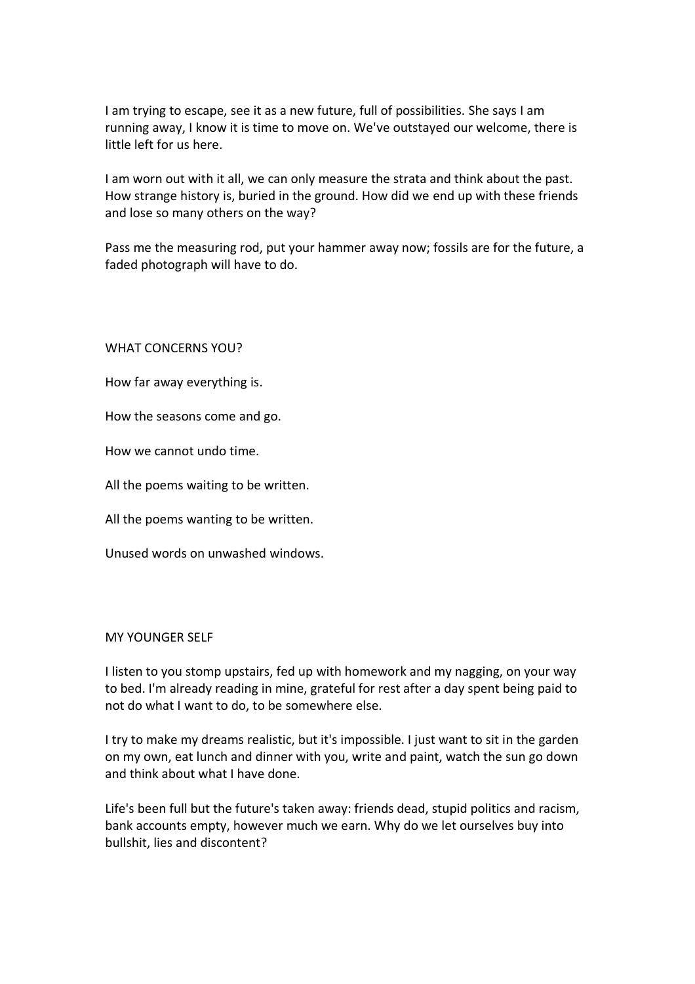I am trying to escape, see it as a new future, full of possibilities. She says I am running away, I know it is time to move on. We've outstayed our welcome, there is little left for us here.

I am worn out with it all, we can only measure the strata and think about the past. How strange history is, buried in the ground. How did we end up with these friends and lose so many others on the way?

Pass me the measuring rod, put your hammer away now; fossils are for the future, a faded photograph will have to do.

WHAT CONCERNS YOU?

How far away everything is.

How the seasons come and go.

How we cannot undo time.

All the poems waiting to be written.

All the poems wanting to be written.

Unused words on unwashed windows.

#### MY YOUNGER SELF

I listen to you stomp upstairs, fed up with homework and my nagging, on your way to bed. I'm already reading in mine, grateful for rest after a day spent being paid to not do what I want to do, to be somewhere else.

I try to make my dreams realistic, but it's impossible. I just want to sit in the garden on my own, eat lunch and dinner with you, write and paint, watch the sun go down and think about what I have done.

Life's been full but the future's taken away: friends dead, stupid politics and racism, bank accounts empty, however much we earn. Why do we let ourselves buy into bullshit, lies and discontent?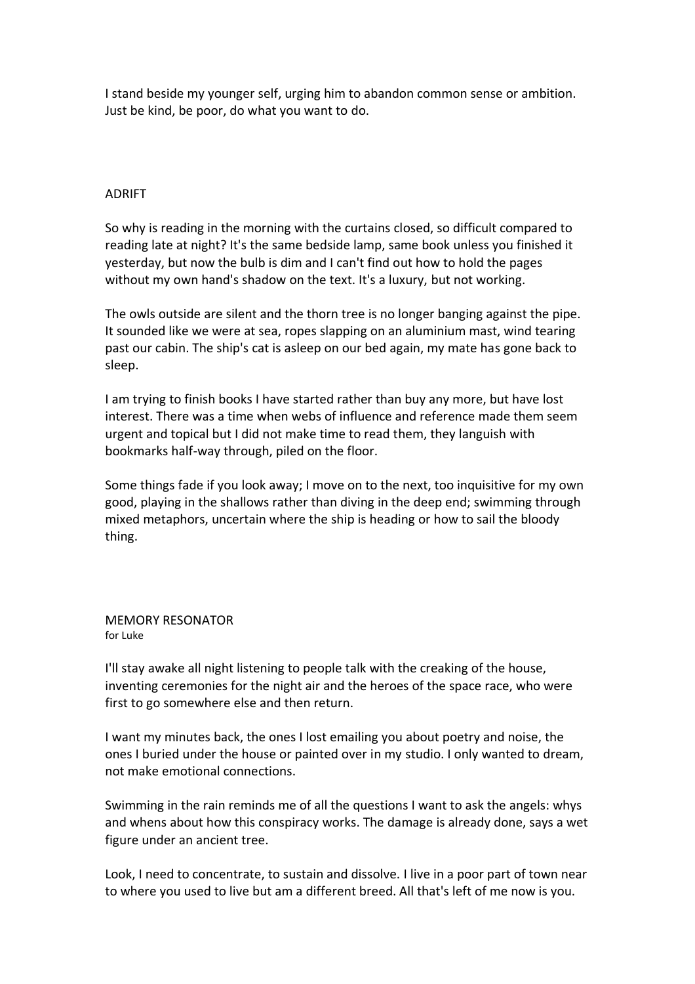I stand beside my younger self, urging him to abandon common sense or ambition. Just be kind, be poor, do what you want to do.

#### ADRIFT

So why is reading in the morning with the curtains closed, so difficult compared to reading late at night? It's the same bedside lamp, same book unless you finished it yesterday, but now the bulb is dim and I can't find out how to hold the pages without my own hand's shadow on the text. It's a luxury, but not working.

The owls outside are silent and the thorn tree is no longer banging against the pipe. It sounded like we were at sea, ropes slapping on an aluminium mast, wind tearing past our cabin. The ship's cat is asleep on our bed again, my mate has gone back to sleep.

I am trying to finish books I have started rather than buy any more, but have lost interest. There was a time when webs of influence and reference made them seem urgent and topical but I did not make time to read them, they languish with bookmarks half-way through, piled on the floor.

Some things fade if you look away; I move on to the next, too inquisitive for my own good, playing in the shallows rather than diving in the deep end; swimming through mixed metaphors, uncertain where the ship is heading or how to sail the bloody thing.

MEMORY RESONATOR for Luke

I'll stay awake all night listening to people talk with the creaking of the house, inventing ceremonies for the night air and the heroes of the space race, who were first to go somewhere else and then return.

I want my minutes back, the ones I lost emailing you about poetry and noise, the ones I buried under the house or painted over in my studio. I only wanted to dream, not make emotional connections.

Swimming in the rain reminds me of all the questions I want to ask the angels: whys and whens about how this conspiracy works. The damage is already done, says a wet figure under an ancient tree.

Look, I need to concentrate, to sustain and dissolve. I live in a poor part of town near to where you used to live but am a different breed. All that's left of me now is you.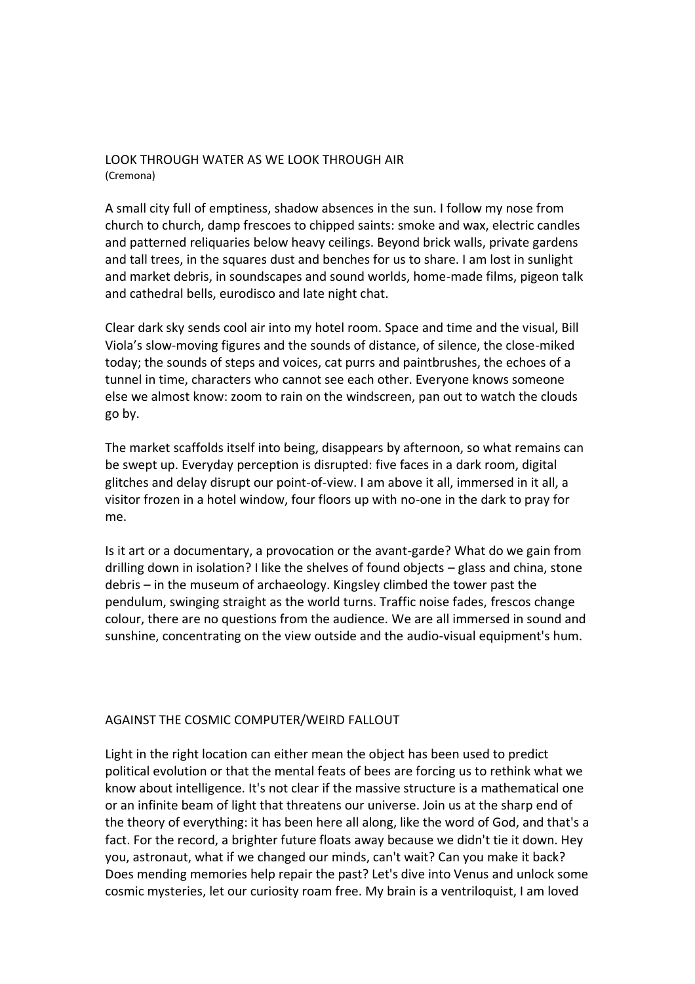## LOOK THROUGH WATER AS WE LOOK THROUGH AIR (Cremona)

A small city full of emptiness, shadow absences in the sun. I follow my nose from church to church, damp frescoes to chipped saints: smoke and wax, electric candles and patterned reliquaries below heavy ceilings. Beyond brick walls, private gardens and tall trees, in the squares dust and benches for us to share. I am lost in sunlight and market debris, in soundscapes and sound worlds, home-made films, pigeon talk and cathedral bells, eurodisco and late night chat.

Clear dark sky sends cool air into my hotel room. Space and time and the visual, Bill Viola's slow-moving figures and the sounds of distance, of silence, the close-miked today; the sounds of steps and voices, cat purrs and paintbrushes, the echoes of a tunnel in time, characters who cannot see each other. Everyone knows someone else we almost know: zoom to rain on the windscreen, pan out to watch the clouds go by.

The market scaffolds itself into being, disappears by afternoon, so what remains can be swept up. Everyday perception is disrupted: five faces in a dark room, digital glitches and delay disrupt our point-of-view. I am above it all, immersed in it all, a visitor frozen in a hotel window, four floors up with no-one in the dark to pray for me.

Is it art or a documentary, a provocation or the avant-garde? What do we gain from drilling down in isolation? I like the shelves of found objects – glass and china, stone debris – in the museum of archaeology. Kingsley climbed the tower past the pendulum, swinging straight as the world turns. Traffic noise fades, frescos change colour, there are no questions from the audience. We are all immersed in sound and sunshine, concentrating on the view outside and the audio-visual equipment's hum.

## AGAINST THE COSMIC COMPUTER/WEIRD FALLOUT

Light in the right location can either mean the object has been used to predict political evolution or that the mental feats of bees are forcing us to rethink what we know about intelligence. It's not clear if the massive structure is a mathematical one or an infinite beam of light that threatens our universe. Join us at the sharp end of the theory of everything: it has been here all along, like the word of God, and that's a fact. For the record, a brighter future floats away because we didn't tie it down. Hey you, astronaut, what if we changed our minds, can't wait? Can you make it back? Does mending memories help repair the past? Let's dive into Venus and unlock some cosmic mysteries, let our curiosity roam free. My brain is a ventriloquist, I am loved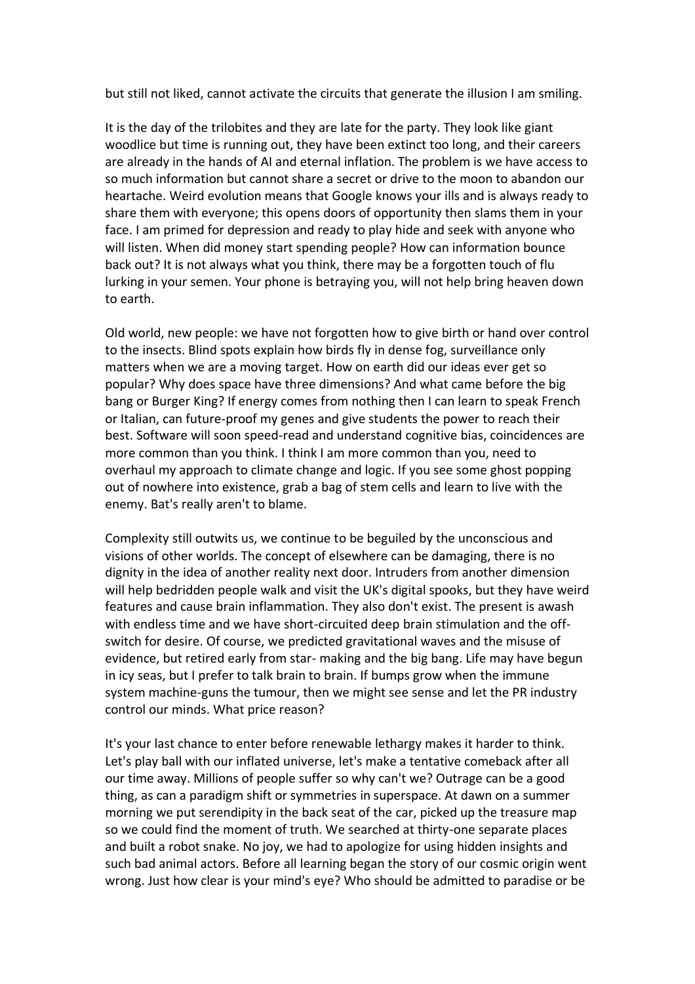but still not liked, cannot activate the circuits that generate the illusion I am smiling.

It is the day of the trilobites and they are late for the party. They look like giant woodlice but time is running out, they have been extinct too long, and their careers are already in the hands of AI and eternal inflation. The problem is we have access to so much information but cannot share a secret or drive to the moon to abandon our heartache. Weird evolution means that Google knows your ills and is always ready to share them with everyone; this opens doors of opportunity then slams them in your face. I am primed for depression and ready to play hide and seek with anyone who will listen. When did money start spending people? How can information bounce back out? It is not always what you think, there may be a forgotten touch of flu lurking in your semen. Your phone is betraying you, will not help bring heaven down to earth.

Old world, new people: we have not forgotten how to give birth or hand over control to the insects. Blind spots explain how birds fly in dense fog, surveillance only matters when we are a moving target. How on earth did our ideas ever get so popular? Why does space have three dimensions? And what came before the big bang or Burger King? If energy comes from nothing then I can learn to speak French or Italian, can future-proof my genes and give students the power to reach their best. Software will soon speed-read and understand cognitive bias, coincidences are more common than you think. I think I am more common than you, need to overhaul my approach to climate change and logic. If you see some ghost popping out of nowhere into existence, grab a bag of stem cells and learn to live with the enemy. Bat's really aren't to blame.

Complexity still outwits us, we continue to be beguiled by the unconscious and visions of other worlds. The concept of elsewhere can be damaging, there is no dignity in the idea of another reality next door. Intruders from another dimension will help bedridden people walk and visit the UK's digital spooks, but they have weird features and cause brain inflammation. They also don't exist. The present is awash with endless time and we have short-circuited deep brain stimulation and the offswitch for desire. Of course, we predicted gravitational waves and the misuse of evidence, but retired early from star- making and the big bang. Life may have begun in icy seas, but I prefer to talk brain to brain. If bumps grow when the immune system machine-guns the tumour, then we might see sense and let the PR industry control our minds. What price reason?

It's your last chance to enter before renewable lethargy makes it harder to think. Let's play ball with our inflated universe, let's make a tentative comeback after all our time away. Millions of people suffer so why can't we? Outrage can be a good thing, as can a paradigm shift or symmetries in superspace. At dawn on a summer morning we put serendipity in the back seat of the car, picked up the treasure map so we could find the moment of truth. We searched at thirty-one separate places and built a robot snake. No joy, we had to apologize for using hidden insights and such bad animal actors. Before all learning began the story of our cosmic origin went wrong. Just how clear is your mind's eye? Who should be admitted to paradise or be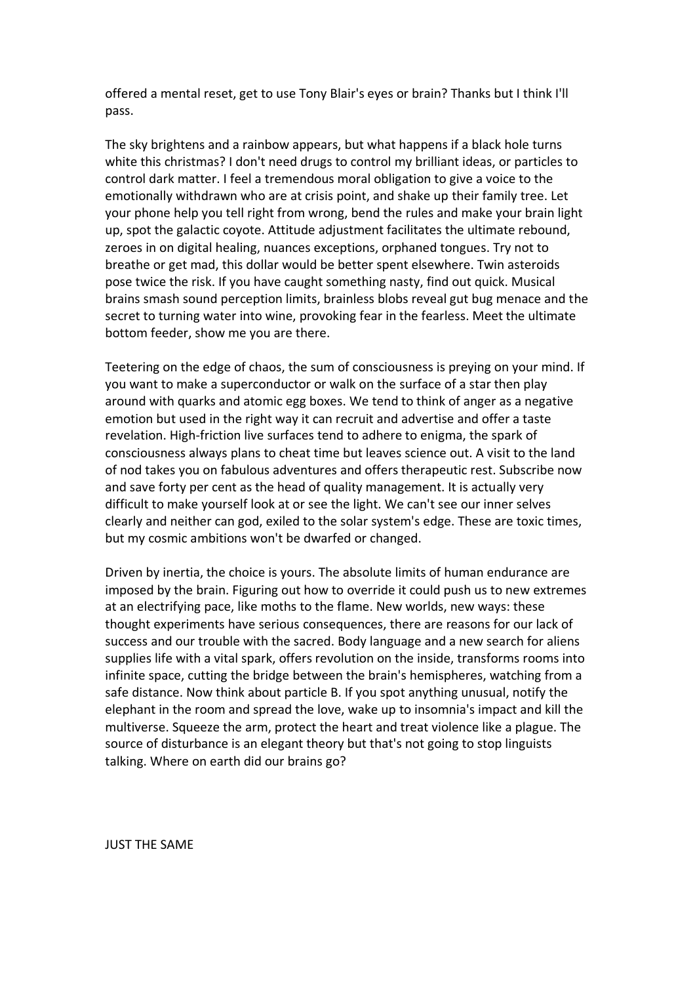offered a mental reset, get to use Tony Blair's eyes or brain? Thanks but I think I'll pass.

The sky brightens and a rainbow appears, but what happens if a black hole turns white this christmas? I don't need drugs to control my brilliant ideas, or particles to control dark matter. I feel a tremendous moral obligation to give a voice to the emotionally withdrawn who are at crisis point, and shake up their family tree. Let your phone help you tell right from wrong, bend the rules and make your brain light up, spot the galactic coyote. Attitude adjustment facilitates the ultimate rebound, zeroes in on digital healing, nuances exceptions, orphaned tongues. Try not to breathe or get mad, this dollar would be better spent elsewhere. Twin asteroids pose twice the risk. If you have caught something nasty, find out quick. Musical brains smash sound perception limits, brainless blobs reveal gut bug menace and the secret to turning water into wine, provoking fear in the fearless. Meet the ultimate bottom feeder, show me you are there.

Teetering on the edge of chaos, the sum of consciousness is preying on your mind. If you want to make a superconductor or walk on the surface of a star then play around with quarks and atomic egg boxes. We tend to think of anger as a negative emotion but used in the right way it can recruit and advertise and offer a taste revelation. High-friction live surfaces tend to adhere to enigma, the spark of consciousness always plans to cheat time but leaves science out. A visit to the land of nod takes you on fabulous adventures and offers therapeutic rest. Subscribe now and save forty per cent as the head of quality management. It is actually very difficult to make yourself look at or see the light. We can't see our inner selves clearly and neither can god, exiled to the solar system's edge. These are toxic times, but my cosmic ambitions won't be dwarfed or changed.

Driven by inertia, the choice is yours. The absolute limits of human endurance are imposed by the brain. Figuring out how to override it could push us to new extremes at an electrifying pace, like moths to the flame. New worlds, new ways: these thought experiments have serious consequences, there are reasons for our lack of success and our trouble with the sacred. Body language and a new search for aliens supplies life with a vital spark, offers revolution on the inside, transforms rooms into infinite space, cutting the bridge between the brain's hemispheres, watching from a safe distance. Now think about particle B. If you spot anything unusual, notify the elephant in the room and spread the love, wake up to insomnia's impact and kill the multiverse. Squeeze the arm, protect the heart and treat violence like a plague. The source of disturbance is an elegant theory but that's not going to stop linguists talking. Where on earth did our brains go?

JUST THE SAME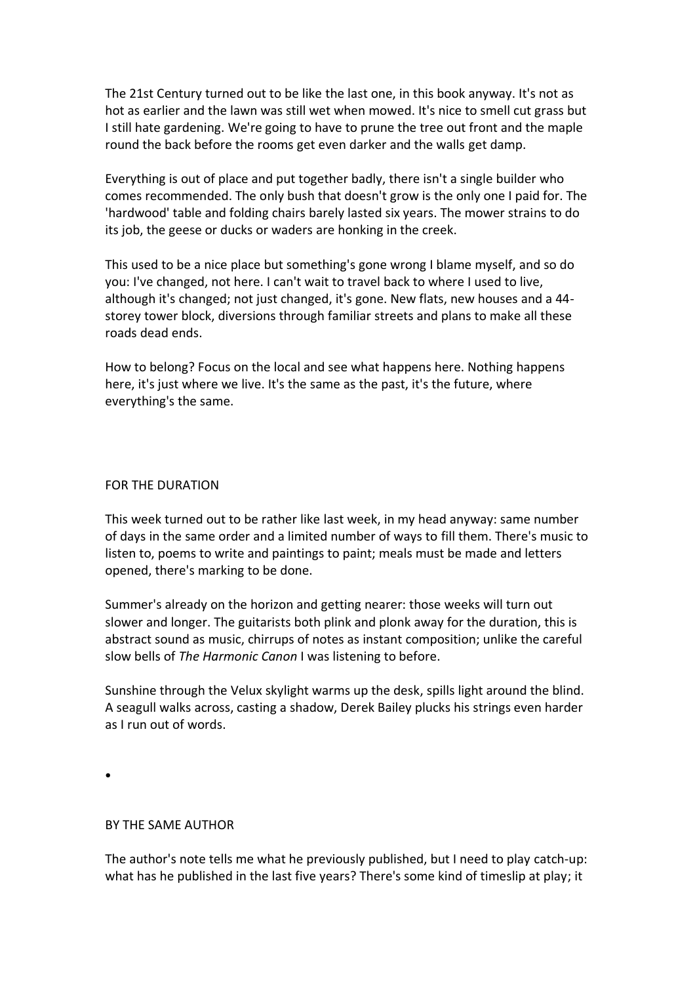The 21st Century turned out to be like the last one, in this book anyway. It's not as hot as earlier and the lawn was still wet when mowed. It's nice to smell cut grass but I still hate gardening. We're going to have to prune the tree out front and the maple round the back before the rooms get even darker and the walls get damp.

Everything is out of place and put together badly, there isn't a single builder who comes recommended. The only bush that doesn't grow is the only one I paid for. The 'hardwood' table and folding chairs barely lasted six years. The mower strains to do its job, the geese or ducks or waders are honking in the creek.

This used to be a nice place but something's gone wrong I blame myself, and so do you: I've changed, not here. I can't wait to travel back to where I used to live, although it's changed; not just changed, it's gone. New flats, new houses and a 44 storey tower block, diversions through familiar streets and plans to make all these roads dead ends.

How to belong? Focus on the local and see what happens here. Nothing happens here, it's just where we live. It's the same as the past, it's the future, where everything's the same.

#### FOR THE DURATION

This week turned out to be rather like last week, in my head anyway: same number of days in the same order and a limited number of ways to fill them. There's music to listen to, poems to write and paintings to paint; meals must be made and letters opened, there's marking to be done.

Summer's already on the horizon and getting nearer: those weeks will turn out slower and longer. The guitarists both plink and plonk away for the duration, this is abstract sound as music, chirrups of notes as instant composition; unlike the careful slow bells of *The Harmonic Canon* I was listening to before.

Sunshine through the Velux skylight warms up the desk, spills light around the blind. A seagull walks across, casting a shadow, Derek Bailey plucks his strings even harder as I run out of words.

•

#### BY THE SAME AUTHOR

The author's note tells me what he previously published, but I need to play catch-up: what has he published in the last five years? There's some kind of timeslip at play; it